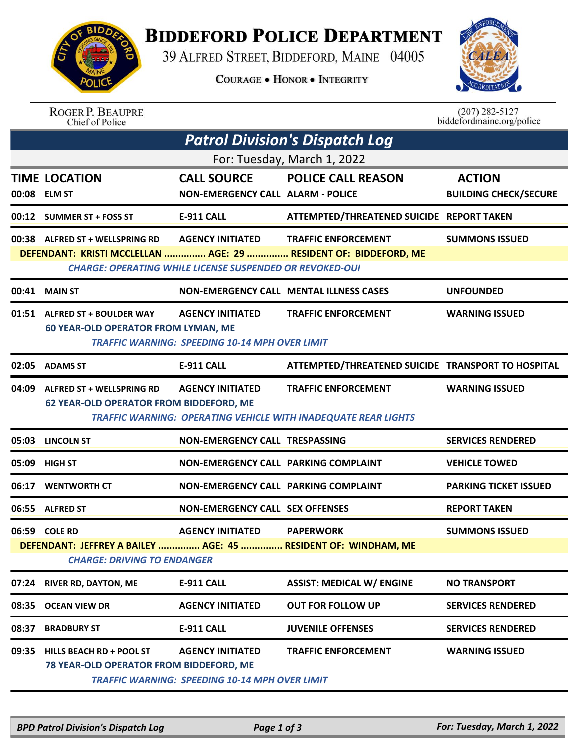

## **BIDDEFORD POLICE DEPARTMENT**

39 ALFRED STREET, BIDDEFORD, MAINE 04005

**COURAGE . HONOR . INTEGRITY** 



ROGER P. BEAUPRE<br>Chief of Police

 $(207)$  282-5127<br>biddefordmaine.org/police

| <b>Patrol Division's Dispatch Log</b> |                                                                                                                       |                                                                                            |                                                                                                     |                                               |  |  |  |  |
|---------------------------------------|-----------------------------------------------------------------------------------------------------------------------|--------------------------------------------------------------------------------------------|-----------------------------------------------------------------------------------------------------|-----------------------------------------------|--|--|--|--|
| For: Tuesday, March 1, 2022           |                                                                                                                       |                                                                                            |                                                                                                     |                                               |  |  |  |  |
|                                       | <b>TIME LOCATION</b><br>00:08 ELM ST                                                                                  | <b>CALL SOURCE</b><br><b>NON-EMERGENCY CALL ALARM - POLICE</b>                             | <b>POLICE CALL REASON</b>                                                                           | <b>ACTION</b><br><b>BUILDING CHECK/SECURE</b> |  |  |  |  |
|                                       | 00:12 SUMMER ST + FOSS ST                                                                                             | <b>E-911 CALL</b>                                                                          | ATTEMPTED/THREATENED SUICIDE REPORT TAKEN                                                           |                                               |  |  |  |  |
|                                       | $00:38$ ALFRED ST + WELLSPRING RD                                                                                     | <b>AGENCY INITIATED</b><br><b>CHARGE: OPERATING WHILE LICENSE SUSPENDED OR REVOKED-OUI</b> | <b>TRAFFIC ENFORCEMENT</b><br>DEFENDANT: KRISTI MCCLELLAN  AGE: 29  RESIDENT OF: BIDDEFORD, ME      | <b>SUMMONS ISSUED</b>                         |  |  |  |  |
|                                       | 00:41 MAIN ST                                                                                                         | <b>NON-EMERGENCY CALL MENTAL ILLNESS CASES</b>                                             |                                                                                                     | <b>UNFOUNDED</b>                              |  |  |  |  |
|                                       | 01:51 ALFRED ST + BOULDER WAY AGENCY INITIATED<br><b>60 YEAR-OLD OPERATOR FROM LYMAN, ME</b>                          | <b>TRAFFIC WARNING: SPEEDING 10-14 MPH OVER LIMIT</b>                                      | <b>TRAFFIC ENFORCEMENT</b>                                                                          | <b>WARNING ISSUED</b>                         |  |  |  |  |
|                                       | 02:05 ADAMS ST                                                                                                        | <b>E-911 CALL</b>                                                                          | ATTEMPTED/THREATENED SUICIDE TRANSPORT TO HOSPITAL                                                  |                                               |  |  |  |  |
| 04:09                                 | ALFRED ST + WELLSPRING RD<br><b>62 YEAR-OLD OPERATOR FROM BIDDEFORD, ME</b>                                           | <b>AGENCY INITIATED</b>                                                                    | <b>TRAFFIC ENFORCEMENT</b><br><b>TRAFFIC WARNING: OPERATING VEHICLE WITH INADEQUATE REAR LIGHTS</b> | <b>WARNING ISSUED</b>                         |  |  |  |  |
| 05:03                                 | <b>LINCOLN ST</b>                                                                                                     | NON-EMERGENCY CALL TRESPASSING                                                             |                                                                                                     | <b>SERVICES RENDERED</b>                      |  |  |  |  |
| 05:09                                 | <b>HIGH ST</b>                                                                                                        | NON-EMERGENCY CALL PARKING COMPLAINT                                                       |                                                                                                     | <b>VEHICLE TOWED</b>                          |  |  |  |  |
| 06:17                                 | <b>WENTWORTH CT</b>                                                                                                   | <b>NON-EMERGENCY CALL PARKING COMPLAINT</b>                                                |                                                                                                     | <b>PARKING TICKET ISSUED</b>                  |  |  |  |  |
| 06:55                                 | <b>ALFRED ST</b>                                                                                                      | <b>NON-EMERGENCY CALL SEX OFFENSES</b>                                                     |                                                                                                     | <b>REPORT TAKEN</b>                           |  |  |  |  |
|                                       | 06:59 COLE RD<br>DEFENDANT: JEFFREY A BAILEY  AGE: 45  RESIDENT OF: WINDHAM, ME<br><b>CHARGE: DRIVING TO ENDANGER</b> | <b>AGENCY INITIATED</b>                                                                    | <b>PAPERWORK</b>                                                                                    | <b>SUMMONS ISSUED</b>                         |  |  |  |  |
| 07:24                                 | <b>RIVER RD, DAYTON, ME</b>                                                                                           | E-911 CALL                                                                                 | <b>ASSIST: MEDICAL W/ ENGINE</b>                                                                    | <b>NO TRANSPORT</b>                           |  |  |  |  |
| 08:35                                 | <b>OCEAN VIEW DR</b>                                                                                                  | <b>AGENCY INITIATED</b>                                                                    | <b>OUT FOR FOLLOW UP</b>                                                                            | <b>SERVICES RENDERED</b>                      |  |  |  |  |
| 08:37                                 | <b>BRADBURY ST</b>                                                                                                    | E-911 CALL                                                                                 | <b>JUVENILE OFFENSES</b>                                                                            | <b>SERVICES RENDERED</b>                      |  |  |  |  |
| 09:35                                 | HILLS BEACH RD + POOL ST<br>78 YEAR-OLD OPERATOR FROM BIDDEFORD, ME                                                   | <b>AGENCY INITIATED</b><br><b>TRAFFIC WARNING: SPEEDING 10-14 MPH OVER LIMIT</b>           | <b>TRAFFIC ENFORCEMENT</b>                                                                          | <b>WARNING ISSUED</b>                         |  |  |  |  |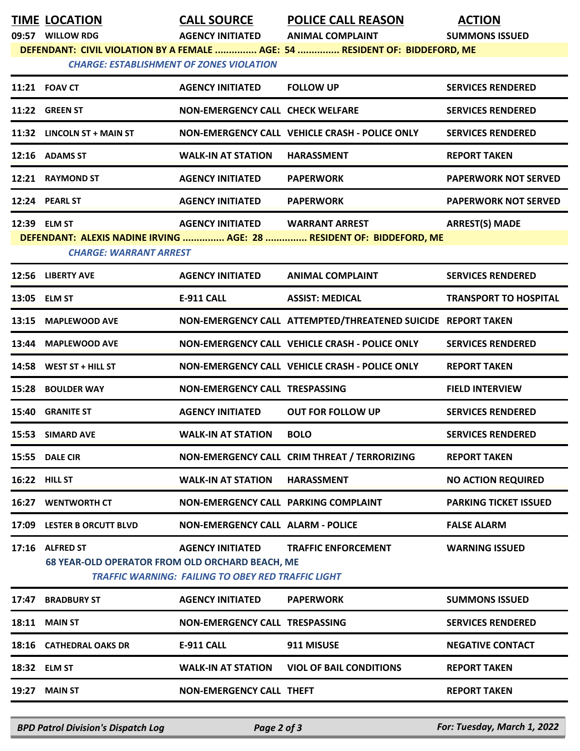| <b>TIME LOCATION</b>                            | <b>CALL SOURCE</b>                                        | <b>POLICE CALL REASON</b>                                                   | <b>ACTION</b>                |
|-------------------------------------------------|-----------------------------------------------------------|-----------------------------------------------------------------------------|------------------------------|
| 09:57 WILLOW RDG                                | <b>AGENCY INITIATED</b>                                   | <b>ANIMAL COMPLAINT</b>                                                     | <b>SUMMONS ISSUED</b>        |
| <b>CHARGE: ESTABLISHMENT OF ZONES VIOLATION</b> |                                                           | DEFENDANT: CIVIL VIOLATION BY A FEMALE  AGE: 54  RESIDENT OF: BIDDEFORD, ME |                              |
|                                                 |                                                           |                                                                             |                              |
| 11:21 FOAV CT                                   | <b>AGENCY INITIATED</b>                                   | <b>FOLLOW UP</b>                                                            | <b>SERVICES RENDERED</b>     |
| 11:22 GREEN ST                                  | <b>NON-EMERGENCY CALL CHECK WELFARE</b>                   |                                                                             | <b>SERVICES RENDERED</b>     |
| 11:32 LINCOLN ST + MAIN ST                      |                                                           | NON-EMERGENCY CALL VEHICLE CRASH - POLICE ONLY                              | <b>SERVICES RENDERED</b>     |
| 12:16 ADAMS ST                                  | <b>WALK-IN AT STATION</b>                                 | <b>HARASSMENT</b>                                                           | <b>REPORT TAKEN</b>          |
| 12:21 RAYMOND ST                                | <b>AGENCY INITIATED</b>                                   | <b>PAPERWORK</b>                                                            | <b>PAPERWORK NOT SERVED</b>  |
| 12:24 PEARL ST                                  | <b>AGENCY INITIATED</b>                                   | <b>PAPERWORK</b>                                                            | <b>PAPERWORK NOT SERVED</b>  |
| 12:39 ELM ST                                    | <b>AGENCY INITIATED</b>                                   | <b>WARRANT ARREST</b>                                                       | <b>ARREST(S) MADE</b>        |
|                                                 |                                                           | DEFENDANT: ALEXIS NADINE IRVING  AGE: 28  RESIDENT OF: BIDDEFORD, ME        |                              |
| <b>CHARGE: WARRANT ARREST</b>                   |                                                           |                                                                             |                              |
| 12:56 LIBERTY AVE                               | <b>AGENCY INITIATED</b>                                   | <b>ANIMAL COMPLAINT</b>                                                     | <b>SERVICES RENDERED</b>     |
| 13:05 ELM ST                                    | <b>E-911 CALL</b>                                         | <b>ASSIST: MEDICAL</b>                                                      | <b>TRANSPORT TO HOSPITAL</b> |
| 13:15 MAPLEWOOD AVE                             |                                                           | NON-EMERGENCY CALL ATTEMPTED/THREATENED SUICIDE REPORT TAKEN                |                              |
| 13:44 MAPLEWOOD AVE                             |                                                           | NON-EMERGENCY CALL VEHICLE CRASH - POLICE ONLY                              | <b>SERVICES RENDERED</b>     |
| 14:58 WEST ST + HILL ST                         |                                                           | NON-EMERGENCY CALL VEHICLE CRASH - POLICE ONLY                              | <b>REPORT TAKEN</b>          |
| 15:28 BOULDER WAY                               | NON-EMERGENCY CALL TRESPASSING                            |                                                                             | <b>FIELD INTERVIEW</b>       |
| 15:40 GRANITE ST                                | <b>AGENCY INITIATED</b>                                   | <b>OUT FOR FOLLOW UP</b>                                                    | <b>SERVICES RENDERED</b>     |
| 15:53 SIMARD AVE                                | <b>WALK-IN AT STATION</b>                                 | <b>BOLO</b>                                                                 | <b>SERVICES RENDERED</b>     |
| 15:55 DALE CIR                                  |                                                           | NON-EMERGENCY CALL CRIM THREAT / TERRORIZING                                | <b>REPORT TAKEN</b>          |
| 16:22 HILL ST                                   | <b>WALK-IN AT STATION</b>                                 | <b>HARASSMENT</b>                                                           | <b>NO ACTION REQUIRED</b>    |
| <b>16:27 WENTWORTH CT</b>                       | NON-EMERGENCY CALL PARKING COMPLAINT                      |                                                                             | <b>PARKING TICKET ISSUED</b> |
| 17:09 LESTER B ORCUTT BLVD                      | <b>NON-EMERGENCY CALL ALARM - POLICE</b>                  |                                                                             | <b>FALSE ALARM</b>           |
| 17:16 ALFRED ST                                 | <b>AGENCY INITIATED</b>                                   | <b>TRAFFIC ENFORCEMENT</b>                                                  | <b>WARNING ISSUED</b>        |
| 68 YEAR-OLD OPERATOR FROM OLD ORCHARD BEACH, ME |                                                           |                                                                             |                              |
|                                                 | <b>TRAFFIC WARNING: FAILING TO OBEY RED TRAFFIC LIGHT</b> |                                                                             |                              |
| 17:47 BRADBURY ST                               | <b>AGENCY INITIATED</b>                                   | <b>PAPERWORK</b>                                                            | <b>SUMMONS ISSUED</b>        |
| 18:11 MAIN ST                                   | NON-EMERGENCY CALL TRESPASSING                            |                                                                             | <b>SERVICES RENDERED</b>     |
| 18:16 CATHEDRAL OAKS DR                         | <b>E-911 CALL</b>                                         | 911 MISUSE                                                                  | <b>NEGATIVE CONTACT</b>      |
| 18:32 ELM ST                                    | <b>WALK-IN AT STATION</b>                                 | <b>VIOL OF BAIL CONDITIONS</b>                                              | <b>REPORT TAKEN</b>          |
| <b>19:27 MAIN ST</b>                            | <b>NON-EMERGENCY CALL THEFT</b>                           |                                                                             | <b>REPORT TAKEN</b>          |
|                                                 |                                                           |                                                                             |                              |

*BPD Patrol Division's Dispatch Log Page 2 of 3 For: Tuesday, March 1, 2022*